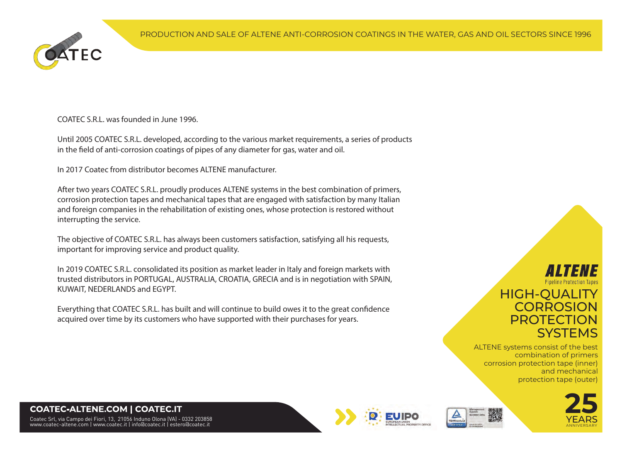

COATEC S.R.L. was founded in June 1996.

Until 2005 COATEC S.R.L. developed, according to the various market requirements, a series of products in the field of anti-corrosion coatings of pipes of any diameter for gas, water and oil.

In 2017 Coatec from distributor becomes ALTENE manufacturer.

After two years COATEC S.R.L. proudly produces ALTENE systems in the best combination of primers, corrosion protection tapes and mechanical tapes that are engaged with satisfaction by many Italian and foreign companies in the rehabilitation of existing ones, whose protection is restored without interrupting the service.

The objective of COATEC S.R.L. has always been customers satisfaction, satisfying all his requests, important for improving service and product quality.

In 2019 COATEC S.R.L. consolidated its position as market leader in Italy and foreign markets with trusted distributors in PORTUGAL, AUSTRALIA, CROATIA, GRECIA and is in negotiation with SPAIN, KUWAIT, NEDERLANDS and EGYPT.

Everything that COATEC S.R.L. has built and will continue to build owes it to the great confidence acquired over time by its customers who have supported with their purchases for years.

## Pipeline Protection Tape HIGH-QUALITY **CORROSION** PROTECTION **SYSTEMS**

ALTENE systems consist of the best combination of primers corrosion protection tape (inner) and mechanical protection tape (outer)







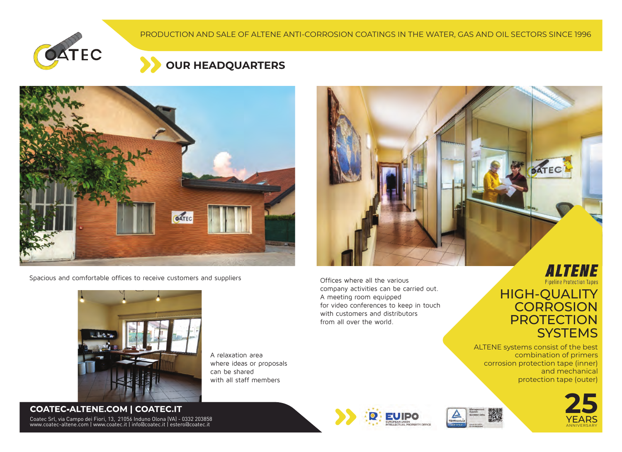





Spacious and comfortable offices to receive customers and suppliers



Offices where all the various company activities can be carried out. A meeting room equipped for video conferences to keep in touch with customers and distributors from all over the world.

# **Pipeline Protection Tapes**



ALTENE systems consist of the best combination of primers corrosion protection tape (inner) and mechanical protection tape (outer)





A relaxation area where ideas or proposals can be shared with all staff members



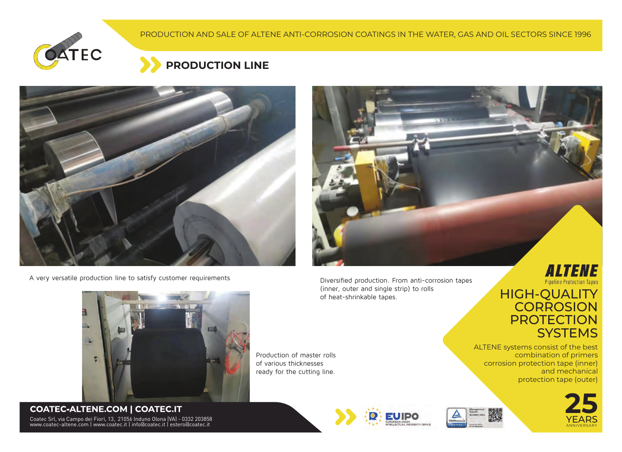





A very versatile production line to satisfy customer requirements



Diversified production. From anti-corrosion tapes (inner, outer and single strip) to rolls of heat-shrinkable tapes.

**Pipeline Protection Tapes** HIGH-QUALITY **CORROSION PROTECTION SYSTEMS** 



Coatec Srl, via Campo dei Fiori, 13, 21056 Induno Olona (VA) - 0332 203858 www.coatec-altene.com | www.coatec.it | info@coatec.it | estero@coatec.it **COATEC-ALTENE.COM | COATEC.IT**

Production of master rolls of various thicknesses ready for the cutting line.







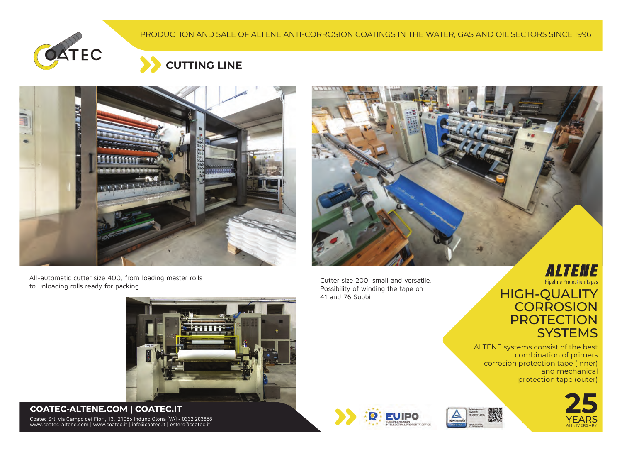







All-automatic cutter size 400, from loading master rolls to unloading rolls ready for packing

Cutter size 200, small and versatile. Possibility of winding the tape on 41 and 76 Subbi.

# **Pipeline Protection Tapes** HIGH-QUALITY



ALTENE systems consist of the best combination of primers corrosion protection tape (inner) and mechanical protection tape (outer)









#### **COATEC-ALTENE.COM | COATEC.IT**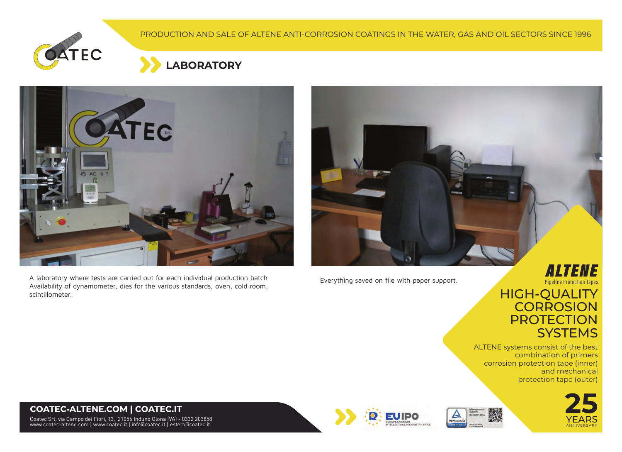





A laboratory where tests are carried out for each individual production batch Availability of dynamometer, dies for the various standards, oven, cold room, scintillometer.

Everything saved on file with paper support.



### HIGH-QUALITY **CORROSION PROTECTION SYSTEMS**

ALTENE systems consist of the best combination of primers corrosion protection tape (inner) and mechanical protection tape (outer)







#### **COATEC-ALTENE.COM | COATEC.IT**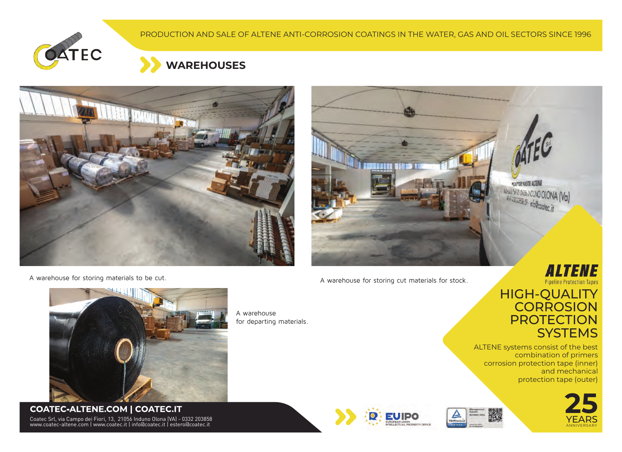





A warehouse for storing materials to be cut.



A warehouse for storing cut materials for stock.



### HIGH-QUALITY **CORROSION PROTECTION SYSTEMS**

ALTENE systems consist of the best combination of primers corrosion protection tape (inner) and mechanical protection tape (outer)









Coatec Srl, via Campo dei Fiori, 13, 21056 Induno Olona (VA) - 0332 203858 www.coatec-altene.com | www.coatec.it | info@coatec.it | estero@coatec.it **COATEC-ALTENE.COM | COATEC.IT**

A warehouse for departing materials.